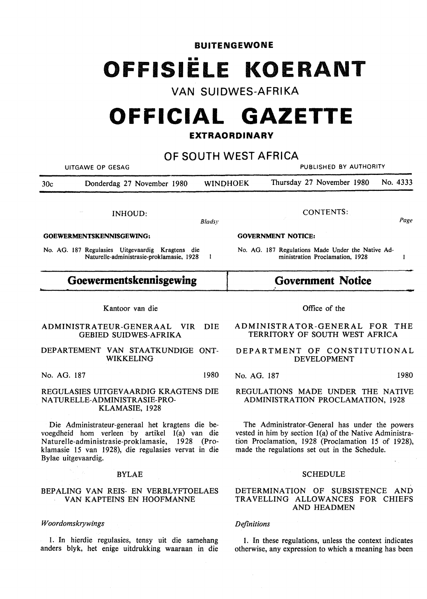## **BUITENGEWONE**  •• **OFFISIELE KOERANT**

### **VAN SUIDWES-AFRIKA**

# **OFFICIAL GAZETTE**

#### **EXTRAORDINARY**

**OF SOUTH WEST AFRICA** 

| UITGAWE OP GESAG                                                                                                                                                                                                                   | PUBLISHED BY AUTHORITY                                                                                                                                                                                           |
|------------------------------------------------------------------------------------------------------------------------------------------------------------------------------------------------------------------------------------|------------------------------------------------------------------------------------------------------------------------------------------------------------------------------------------------------------------|
| Donderdag 27 November 1980<br>30 <sub>c</sub>                                                                                                                                                                                      | No. 4333<br>Thursday 27 November 1980<br>WINDHOEK                                                                                                                                                                |
| <b>INHOUD:</b><br><b>Bladsy</b>                                                                                                                                                                                                    | <b>CONTENTS:</b><br>Page                                                                                                                                                                                         |
| <b>GOEWERMENTSKENNISGEWING:</b>                                                                                                                                                                                                    | <b>GOVERNMENT NOTICE:</b>                                                                                                                                                                                        |
| No. AG. 187 Regulasies Uitgevaardig Kragtens die<br>Naturelle-administrasie-proklamasie, 1928<br>-1                                                                                                                                | No. AG. 187 Regulations Made Under the Native Ad-<br>ministration Proclamation, 1928<br>1                                                                                                                        |
| Goewermentskennisgewing                                                                                                                                                                                                            | <b>Government Notice</b>                                                                                                                                                                                         |
| Kantoor van die                                                                                                                                                                                                                    | Office of the                                                                                                                                                                                                    |
| ADMINISTRATEUR-GENERAAL<br><b>VIR</b><br><b>DIE</b><br><b>GEBIED SUIDWES-AFRIKA</b>                                                                                                                                                | ADMINISTRATOR-GENERAL FOR THE<br>TERRITORY OF SOUTH WEST AFRICA                                                                                                                                                  |
| DEPARTEMENT VAN STAATKUNDIGE ONT-<br><b>WIKKELING</b>                                                                                                                                                                              | DEPARTMENT OF CONSTITUTIONAL<br><b>DEVELOPMENT</b>                                                                                                                                                               |
| 1980<br>No. AG. 187                                                                                                                                                                                                                | 1980<br>No. AG. 187                                                                                                                                                                                              |
| REGULASIES UITGEVAARDIG KRAGTENS DIE<br>NATURELLE-ADMINISTRASIE-PRO-<br>KLAMASIE, 1928                                                                                                                                             | REGULATIONS MADE UNDER THE NATIVE<br>ADMINISTRATION PROCLAMATION, 1928                                                                                                                                           |
| Die Administrateur-generaal het kragtens die be-<br>voegdheid hom verleen by artikel 1(a) van die<br>Naturelle-administrasie-proklamasie, 1928 (Pro-<br>klamasie 15 van 1928), die regulasies vervat in die<br>Bylae uitgevaardig. | The Administrator-General has under the powers<br>vested in him by section 1(a) of the Native Administra-<br>tion Proclamation, 1928 (Proclamation 15 of 1928),<br>made the regulations set out in the Schedule. |
| <b>BYLAE</b>                                                                                                                                                                                                                       | <b>SCHEDULE</b>                                                                                                                                                                                                  |
| BEPALING VAN REIS- EN VERBLYFTOELAES<br>VAN KAPTEINS EN HOOFMANNE                                                                                                                                                                  | DETERMINATION OF SUBSISTENCE AND<br>TRAVELLING ALLOWANCES FOR CHIEFS<br>AND HEADMEN                                                                                                                              |
| Woordomskrywings                                                                                                                                                                                                                   | <b>Definitions</b>                                                                                                                                                                                               |

1. In these regulations, unless the context indicates otherwise, any expression to which a meaning has been

I. In hierdie regulasies, tensy uit die samehang anders blyk, het enige uitdrukking waaraan in die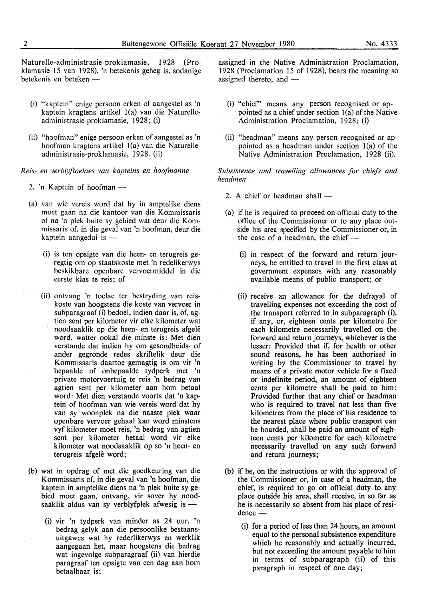Naturelle-administrasie-proklamasie, 1928 (Proklamasie 15 van 1928), 'n betekenis geheg is, sodanige betekenis en beteken -

- (i) "kaptein" enige persoon erken of aangestel as 'n kaptein kragtens artikel l(a) van die Naturelleadm inistrasie-proklamasie, 1928; (i)
- (ii) "hoofman" enige persoon erken of aangestel as 'n hoofman kragtens artikel l(a) van die Naturelleadministrasie-proklamasie, 1928. (ii)

*Reis- en verblyftoelaes van kapteins en hoofmanne* 

- 2. 'n Kaptein of hoofman  $-$
- (a) van wie vereis word dat hy in amptelike diens moet gaan na die kantoor van die Kommissaris of na 'n plek buite sy gebied wat deur die Kommissaris of, in die geval van 'n hoofman, deur die kaptein aangedui is  $-$ 
	- (i) is ten opsigte van die heen- en terugreis geregtig om op staatskoste met 'n redelikerwys beskikbare openbare vervoermiddel in die eerste klas te reis; of
	- (ii) ontvang 'n toelae ter bestryding van reiskoste van hoogstens die koste van vervoer in subparagraaf (i) bedoel, indien daar is, of, agtien sent per kilometer vir elke kilometer wat noodsaaklik op die heen- en terugreis afgelê word, watter ookal die minste is: Met dien verstande dat indien hy om gesondheids- of ander gegronde redes skriftelik deur die Kommissaris daartoe gemagtig is om vir 'n bepaalde of onbepaalde tydperk met 'n private motorvoertuig te reis 'n bedrag van agtien sent per kilometer aan hom betaal word: Met dien verstande voorts dat 'n kaptein of hoofman van wie vereis word dat hy van sy woonplek na die naaste plek waar openbare vervoer gehaal kan word minstens vyf kilometer moet reis, 'n bedrag van agtien sent per kilometer betaal word vir elke kilometer wat noodsaaklik op so 'n heen- en terugreis afgelê word;
- (b) wat in opdrag of met die goedkeuring van die Kommissaris of, in die geval van 'n hoofman, die kaptein in amptelike diens na 'n plek buite sy gebied moet gaan, ontvang, vir sover hy noodsaaklik aldus van sy verblyfplek afwesig is  $-$ 
	- (i) vir 'n tydperk van minder as 24 uur, 'n bedrag gelyk aan die persoonlike bestaansuitgawes wat hy rederlikerwys en werklik aangegaan het, maar hoogstens die bedrag wat ingevolge subparagraaf (ii) van hierdie paragraaf ten opsigte van een dag aan horn betaalbaar is;

assigned in the Native Administration Proclamation, 1928 (Proclamation 15 of 1928), bears the meaning so assigned thereto, and -

- (i) "chief' means any person recognised or appointed as a chief under section l(a) of the Native Administration Proclamation, 1928; (i)
- (ii) "headman" means any person recognised or appointed as a headman under section l(a) of the Native Administration Proclamation, 1928 (ii).

*Subsistence and travelling allowances for chiefs and headmen* 

- 2. A chief or headman shall  $-$
- (a) if he is required to proceed on official duty to the office of the Commissioner or to any place outside his area specified by the Commissioner or, in the case of a headman, the chief  $-$ 
	- (i) in respect of the forward and return journeys, be entitled to travel in the first class at government expenses with any reasonably available means of public transport; or
	- (ii) receive an allowance for the defrayal of travelling expenses not exceeding the cost of the transport referred to in subparagraph (i), if any, or, eighteen cents per kilometre for each kilometre necessarily travelled on the forward and return journeys, whichever is the lesser: Provided that if, for health or other sound reasons, he has been authorised in writing by the Commissioner to travel by means of a private motor vehicle for a fixed or indefinite period, an amount of eighteen cents per kilometre shall be paid to him: Provided further that any chief or headman who is required to travel not less than five kilometres from the place of his residence to the nearest place where public transport can be boarded, shall be paid an amount of eighteen cents per kilometre for each kilometre necessarily travelled on any such forward and return journeys;
- (b) if he, on the instructions or with the approval of the Commissioner or, in case of a headman, the chief, is required to go on official duty to any place outside his area, shall receive, in so far as he is necessarily so absent from his place of residence -
	- (i) for a period of less than 24 hours, an amount equal to the personal subsistence expenditure which he reasonably and actually incurred, but not exceeding the amount payable to him in terms of subparagraph (ii) of this paragraph in respect of one day;